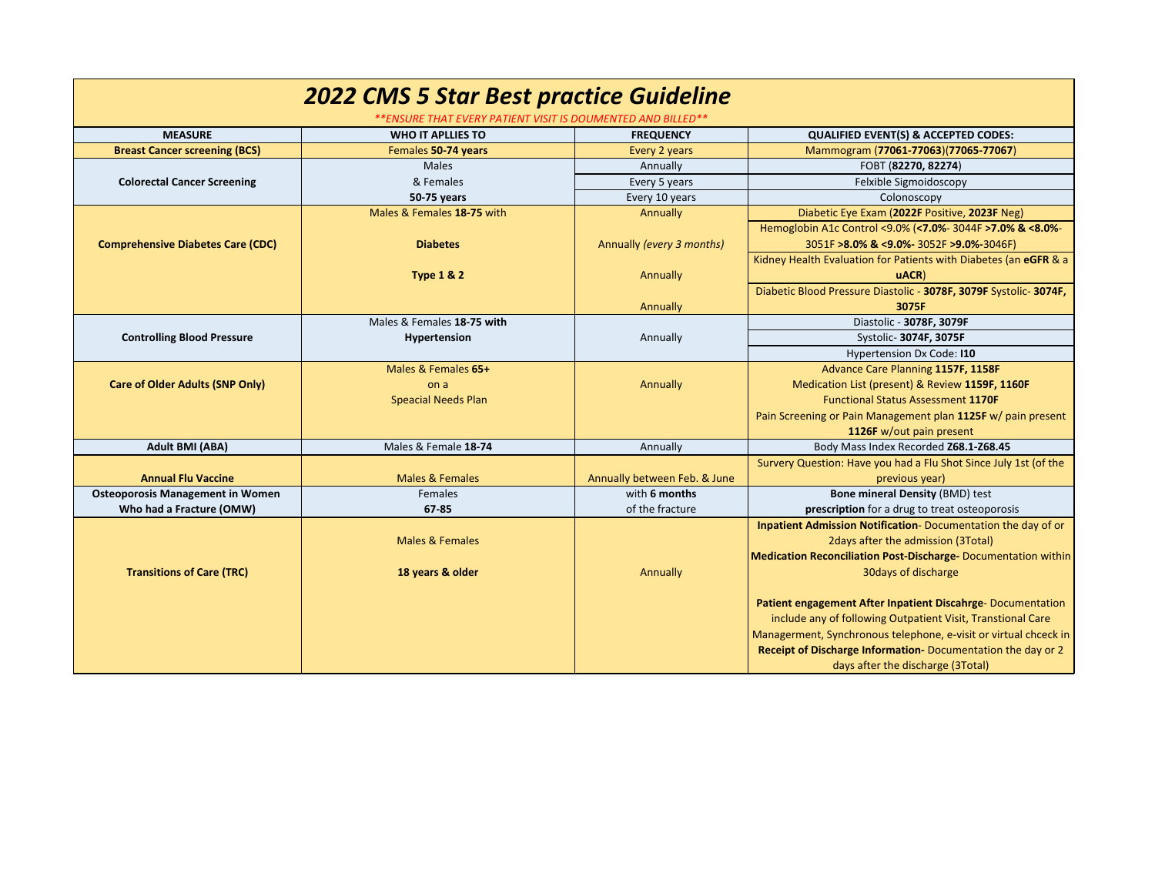| <b>2022 CMS 5 Star Best practice Guideline</b><br>**ENSURE THAT EVERY PATIENT VISIT IS DOUMENTED AND BILLED** |                            |                              |                                                                  |  |  |
|---------------------------------------------------------------------------------------------------------------|----------------------------|------------------------------|------------------------------------------------------------------|--|--|
| <b>MEASURE</b>                                                                                                | <b>WHO IT APLLIES TO</b>   | <b>FREQUENCY</b>             | <b>QUALIFIED EVENT(S) &amp; ACCEPTED CODES:</b>                  |  |  |
| <b>Breast Cancer screening (BCS)</b>                                                                          | Females 50-74 years        | Every 2 years                | Mammogram (77061-77063)(77065-77067)                             |  |  |
|                                                                                                               | <b>Males</b>               | Annually                     | FOBT (82270, 82274)                                              |  |  |
| <b>Colorectal Cancer Screening</b>                                                                            | & Females                  | Every 5 years                | Felxible Sigmoidoscopy                                           |  |  |
|                                                                                                               | 50-75 years                | Every 10 years               | Colonoscopy                                                      |  |  |
|                                                                                                               | Males & Females 18-75 with | Annually                     | Diabetic Eye Exam (2022F Positive, 2023F Neg)                    |  |  |
|                                                                                                               |                            |                              | Hemoglobin A1c Control <9.0% (<7.0%- 3044F >7.0% & <8.0%-        |  |  |
| <b>Comprehensive Diabetes Care (CDC)</b>                                                                      | <b>Diabetes</b>            | Annually (every 3 months)    | 3051F >8.0% & <9.0%- 3052F >9.0%-3046F)                          |  |  |
|                                                                                                               |                            |                              | Kidney Health Evaluation for Patients with Diabetes (an eGFR & a |  |  |
|                                                                                                               | <b>Type 1 &amp; 2</b>      | Annually                     | uACR                                                             |  |  |
|                                                                                                               |                            |                              | Diabetic Blood Pressure Diastolic - 3078F, 3079F Systolic-3074F, |  |  |
|                                                                                                               |                            | Annually                     | 3075F                                                            |  |  |
|                                                                                                               | Males & Females 18-75 with |                              | Diastolic - 3078F, 3079F                                         |  |  |
| <b>Controlling Blood Pressure</b>                                                                             | Hypertension               | Annually                     | Systolic- 3074F, 3075F                                           |  |  |
|                                                                                                               |                            |                              | Hypertension Dx Code: I10                                        |  |  |
|                                                                                                               | Males & Females 65+        |                              | Advance Care Planning 1157F, 1158F                               |  |  |
| <b>Care of Older Adults (SNP Only)</b>                                                                        | on a                       | Annually                     | Medication List (present) & Review 1159F, 1160F                  |  |  |
|                                                                                                               | <b>Speacial Needs Plan</b> |                              | <b>Functional Status Assessment 1170F</b>                        |  |  |
|                                                                                                               |                            |                              | Pain Screening or Pain Management plan 1125F w/ pain present     |  |  |
|                                                                                                               |                            |                              | 1126F w/out pain present                                         |  |  |
| Adult BMI (ABA)                                                                                               | Males & Female 18-74       | Annually                     | Body Mass Index Recorded Z68.1-Z68.45                            |  |  |
|                                                                                                               |                            |                              | Survery Question: Have you had a Flu Shot Since July 1st (of the |  |  |
| <b>Annual Flu Vaccine</b>                                                                                     | <b>Males &amp; Females</b> | Annually between Feb. & June | previous year)                                                   |  |  |
| <b>Osteoporosis Management in Women</b>                                                                       | Females                    | with 6 months                | <b>Bone mineral Density (BMD) test</b>                           |  |  |
| Who had a Fracture (OMW)                                                                                      | 67-85                      | of the fracture              | prescription for a drug to treat osteoporosis                    |  |  |
|                                                                                                               |                            |                              | Inpatient Admission Notification-Documentation the day of or     |  |  |
|                                                                                                               | <b>Males &amp; Females</b> |                              | 2 days after the admission (3 Total)                             |  |  |
|                                                                                                               |                            |                              | Medication Reconciliation Post-Discharge-Documentation within    |  |  |
| <b>Transitions of Care (TRC)</b>                                                                              | 18 years & older           | Annually                     | 30 days of discharge                                             |  |  |
|                                                                                                               |                            |                              |                                                                  |  |  |
|                                                                                                               |                            |                              | Patient engagement After Inpatient Discahrge-Documentation       |  |  |
|                                                                                                               |                            |                              | include any of following Outpatient Visit, Transtional Care      |  |  |
|                                                                                                               |                            |                              | Managerment, Synchronous telephone, e-visit or virtual chceck in |  |  |
|                                                                                                               |                            |                              | Receipt of Discharge Information-Documentation the day or 2      |  |  |
|                                                                                                               |                            |                              | days after the discharge (3Total)                                |  |  |